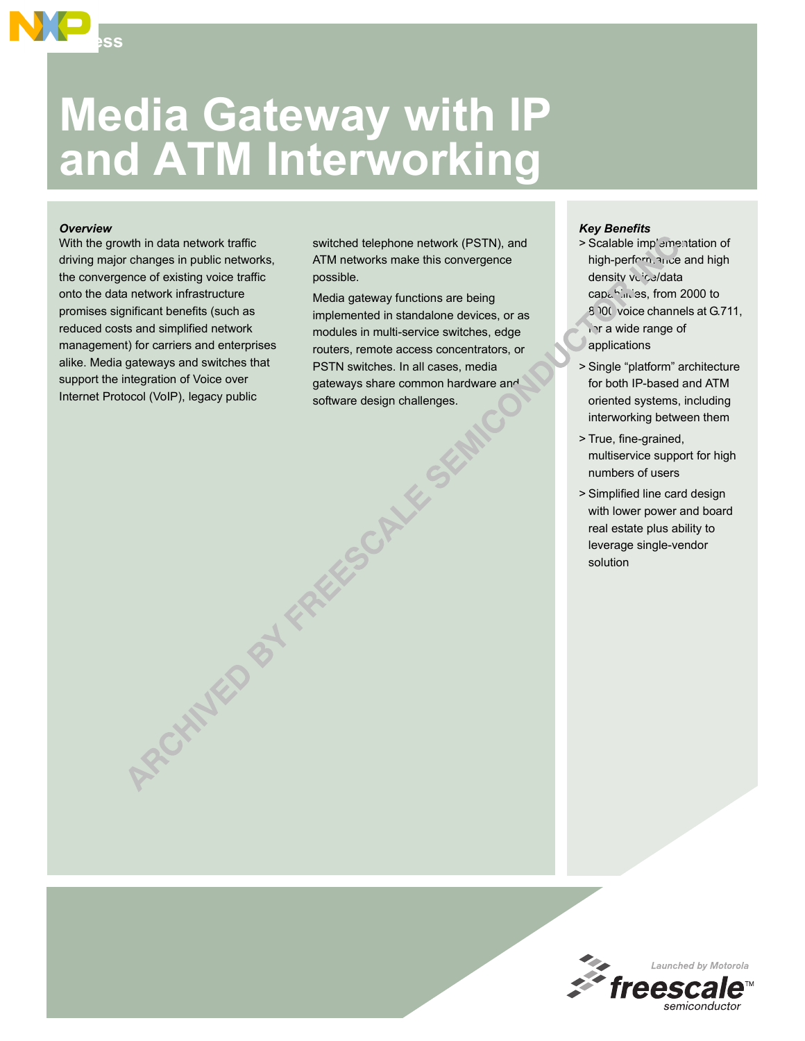

## *Overview*

**Access**

With the growth in data network traffic driving major changes in public networks, the convergence of existing voice traffic onto the data network infrastructure promises significant benefits (such as reduced costs and simplified network management) for carriers and enterprises alike. Media gateways and switches that support the integration of Voice over Internet Protocol (VoIP), legacy public

RCHAMED BY FRA

switched telephone network (PSTN), and ATM networks make this convergence possible.

Media gateway functions are being implemented in standalone devices, or as modules in multi-service switches, edge routers, remote access concentrators, or PSTN switches. In all cases, media gateways share common hardware and software design challenges.

## *Key Benefits*

- > Scalable imp'ementation of high-performance and high density vuice/data capabilities, from 2000 to 8000 voice channels at G.711, in a wide range of applications
- > Single "platform" architecture for both IP-based and ATM oriented systems, including interworking between them
- > True, fine-grained, multiservice support for high numbers of users
- > Simplified line card design with lower power and board real estate plus ability to leverage single-vendor solution

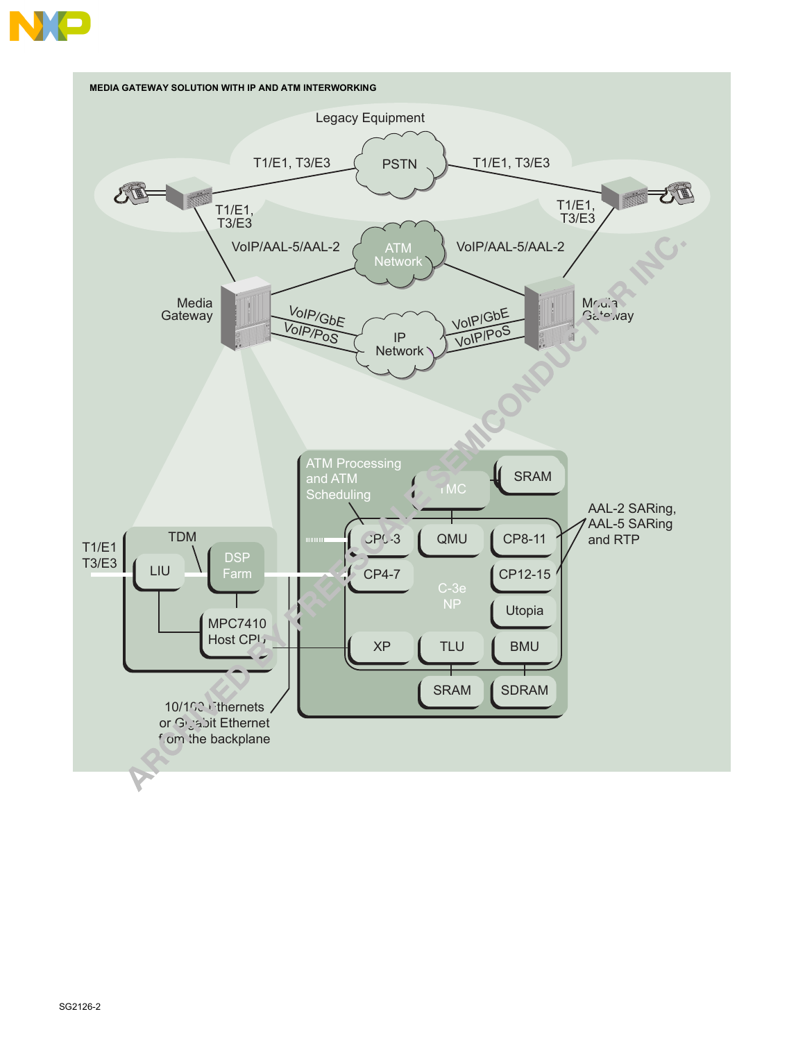

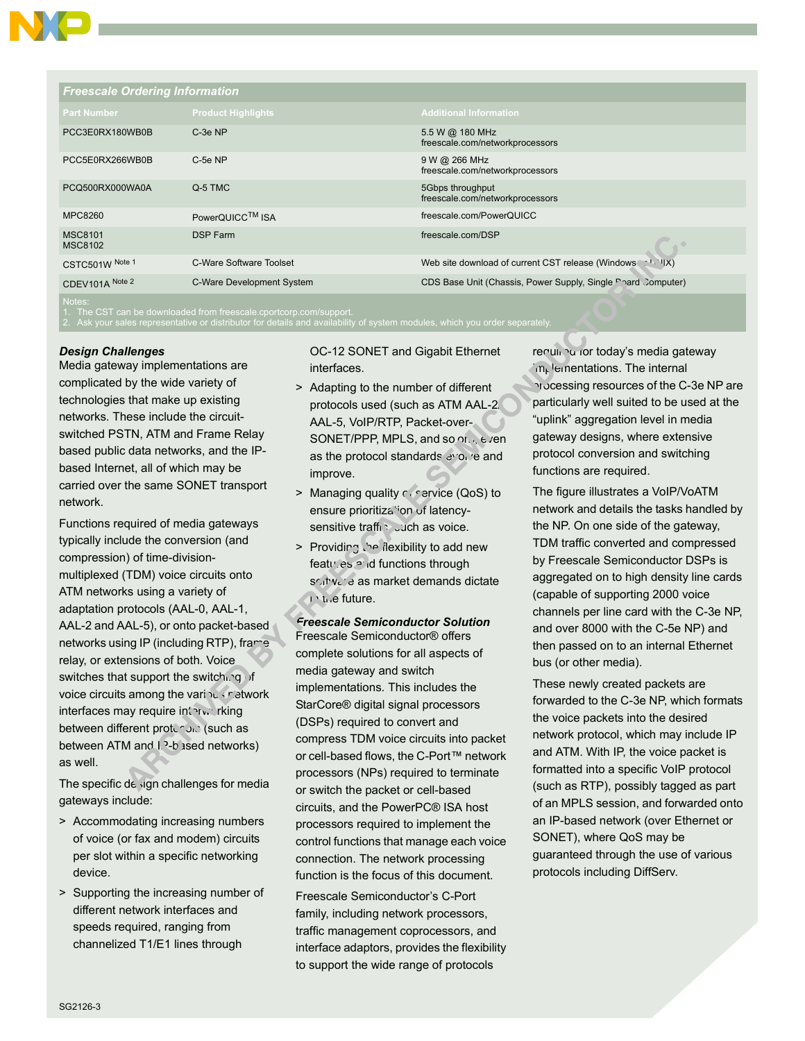

| <b>Freescale Ordering Information</b> |                           |                                                              |  |  |
|---------------------------------------|---------------------------|--------------------------------------------------------------|--|--|
| <b>Part Number</b>                    | <b>Product Highlights</b> | <b>Additional Information</b>                                |  |  |
| PCC3E0RX180WB0B                       | C-3e NP                   | 5.5 W @ 180 MHz<br>freescale.com/networkprocessors           |  |  |
| PCC5E0RX266WB0B                       | $C-5e$ NP                 | 9 W @ 266 MHz<br>freescale.com/networkprocessors             |  |  |
| PCQ500RX000WA0A                       | Q-5 TMC                   | 5Gbps throughput<br>freescale.com/networkprocessors          |  |  |
| MPC8260                               | PowerQUICC™ ISA           | freescale.com/PowerQUICC                                     |  |  |
| <b>MSC8101</b><br><b>MSC8102</b>      | <b>DSP Farm</b>           | freescale.com/DSP                                            |  |  |
| CSTC501W Note 1                       | C-Ware Software Toolset   | Web site download of current CST release (Windows T. WIX)    |  |  |
| CDEV101A Note 2                       | C-Ware Development System | CDS Base Unit (Chassis, Power Supply, Single Phard Computer) |  |  |
| Notes:                                |                           |                                                              |  |  |

2. Ask your sales representative or distributor for details and availability of system modules, which you order separately.

## *Design Challenges*

Media gateway implementations are complicated by the wide variety of technologies that make up existing networks. These include the circuitswitched PSTN, ATM and Frame Relay based public data networks, and the IPbased Internet, all of which may be carried over the same SONET transport network.

Functions required of media gateways typically include the conversion (and compression) of time-divisionmultiplexed (TDM) voice circuits onto ATM networks using a variety of adaptation protocols (AAL-0, AAL-1, AAL-2 and AAL-5), or onto packet-based networks using IP (including RTP), frame relay, or extensions of both. Voice switches that support the switching of voice circuits among the various network interfaces may require interworking between different proton one (such as between ATM and  $I.P-b$  ased networks) as well.

The specific design challenges for media gateways include:

- > Accommodating increasing numbers of voice (or fax and modem) circuits per slot within a specific networking device.
- > Supporting the increasing number of different network interfaces and speeds required, ranging from channelized T1/E1 lines through

OC-12 SONET and Gigabit Ethernet interfaces.

- > Adapting to the number of different protocols used (such as ATM AAL-2/ AAL-5, VoIP/RTP, Packet-over-SONET/PPP, MPLS, and so on, even as the protocol standards evolve and improve.
- > Managing quality  $\epsilon$  service (QoS) to ensure prioritization of latencysensitive traffic, such as voice.
- > Providing <sup>ל</sup> flexibility to add new features and functions through  $s$  $/$  $t$  $v$  $c$   $\dot{c}$  as market demands dictate in the future.

*Freescale Semiconductor Solution* Freescale Semiconductor® offers complete solutions for all aspects of media gateway and switch implementations. This includes the StarCore<sup>®</sup> digital signal processors (DSPs) required to convert and compress TDM voice circuits into packet or cell-based flows, the C-Port™ network processors (NPs) required to terminate or switch the packet or cell-based circuits, and the PowerPC® ISA host processors required to implement the control functions that manage each voice connection. The network processing function is the focus of this document.

Freescale Semiconductor's C-Port family, including network processors, traffic management coprocessors, and interface adaptors, provides the flexibility to support the wide range of protocols

reguli Pu for today's media gateway  $m_k$  lementations. The internal processing resources of the C-3e NP are particularly well suited to be used at the "uplink" aggregation level in media gateway designs, where extensive protocol conversion and switching functions are required.

The figure illustrates a VoIP/VoATM network and details the tasks handled by the NP. On one side of the gateway, TDM traffic converted and compressed by Freescale Semiconductor DSPs is aggregated on to high density line cards (capable of supporting 2000 voice channels per line card with the C-3e NP, and over 8000 with the C-5e NP) and then passed on to an internal Ethernet bus (or other media).

These newly created packets are forwarded to the C-3e NP, which formats the voice packets into the desired network protocol, which may include IP and ATM. With IP, the voice packet is formatted into a specific VoIP protocol (such as RTP), possibly tagged as part of an MPLS session, and forwarded onto an IP-based network (over Ethernet or SONET), where QoS may be guaranteed through the use of various protocols including DiffServ.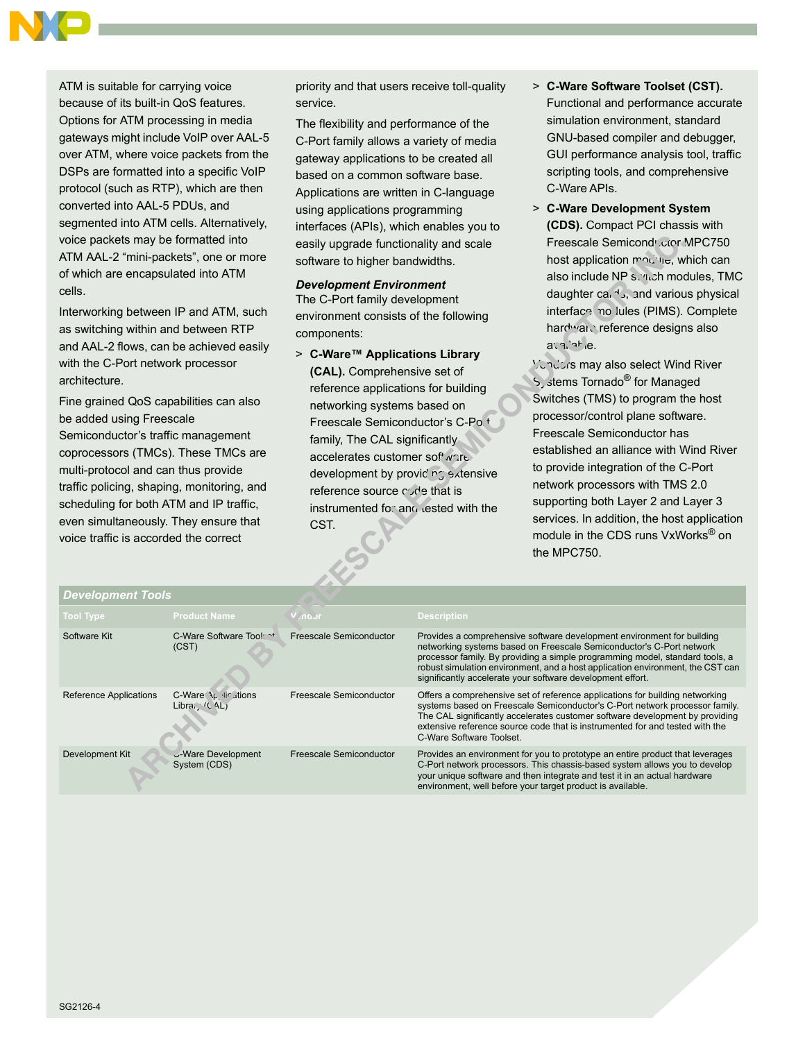

ATM is suitable for carrying voice because of its built-in QoS features. Options for ATM processing in media gateways might include VoIP over AAL-5 over ATM, where voice packets from the DSPs are formatted into a specific VoIP protocol (such as RTP), which are then converted into AAL-5 PDUs, and segmented into ATM cells. Alternatively, voice packets may be formatted into ATM AAL-2 "mini-packets", one or more of which are encapsulated into ATM cells.

Interworking between IP and ATM, such as switching within and between RTP and AAL-2 flows, can be achieved easily with the C-Port network processor architecture.

Fine grained QoS capabilities can also be added using Freescale Semiconductor's traffic management coprocessors (TMCs). These TMCs are multi-protocol and can thus provide traffic policing, shaping, monitoring, and scheduling for both ATM and IP traffic, even simultaneously. They ensure that voice traffic is accorded the correct

priority and that users receive toll-quality service.

The flexibility and performance of the C-Port family allows a variety of media gateway applications to be created all based on a common software base. Applications are written in C-language using applications programming interfaces (APIs), which enables you to easily upgrade functionality and scale software to higher bandwidths.

## *Development Environment*

The C-Port family development environment consists of the following components:

> C-Ware<sup>™</sup> Applications Library **(CAL).** Comprehensive set of reference applications for building networking systems based on Freescale Semiconductor's C-Po.<sup>t</sup> family, The CAL significantly accelerates customer software development by providing extensive reference source code that is instrumented for and tested with the CST.

- > **C-Ware Software Toolset (CST).**  Functional and performance accurate simulation environment, standard GNU-based compiler and debugger, GUI performance analysis tool, traffic scripting tools, and comprehensive C-Ware APIs.
- > **C-Ware Development System (CDS).** Compact PCI chassis with Freescale Semicond<sup>,</sup> ctor MPC750 host application module, which can also include NP switch modules, TMC daughter ca.  $\triangleleft$ , and various physical interface no lules (PIMS). Complete hardware reference designs also avaliahle.

Vendors may also select Wind River S, stems Tornado<sup>®</sup> for Managed Switches (TMS) to program the host processor/control plane software. Freescale Semiconductor has established an alliance with Wind River to provide integration of the C-Port network processors with TMS 2.0 supporting both Layer 2 and Layer 3 services. In addition, the host application module in the CDS runs VxWorks<sup>®</sup> on the MPC750.

| <b>Development Tools</b> |                                      |                         |                                                                                                                                                                                                                                                                                                                                                                                |
|--------------------------|--------------------------------------|-------------------------|--------------------------------------------------------------------------------------------------------------------------------------------------------------------------------------------------------------------------------------------------------------------------------------------------------------------------------------------------------------------------------|
| Tool Type,               | <b>Product Name</b>                  | Vindor                  | <b>Description</b>                                                                                                                                                                                                                                                                                                                                                             |
| Software Kit             | C-Ware Software Too!<br>(CST)        | Freescale Semiconductor | Provides a comprehensive software development environment for building<br>networking systems based on Freescale Semiconductor's C-Port network<br>processor family. By providing a simple programming model, standard tools, a<br>robust simulation environment, and a host application environment, the CST can<br>significantly accelerate your software development effort. |
| Reference Applications   | C-Ware \L lir ations<br>Libra: (CAL) | Freescale Semiconductor | Offers a comprehensive set of reference applications for building networking<br>systems based on Freescale Semiconductor's C-Port network processor family.<br>The CAL significantly accelerates customer software development by providing<br>extensive reference source code that is instrumented for and tested with the<br>C-Ware Software Toolset.                        |
| Development Kit          | U-Ware Development<br>System (CDS)   | Freescale Semiconductor | Provides an environment for you to prototype an entire product that leverages<br>C-Port network processors. This chassis-based system allows you to develop<br>your unique software and then integrate and test it in an actual hardware<br>environment, well before your target product is available.                                                                         |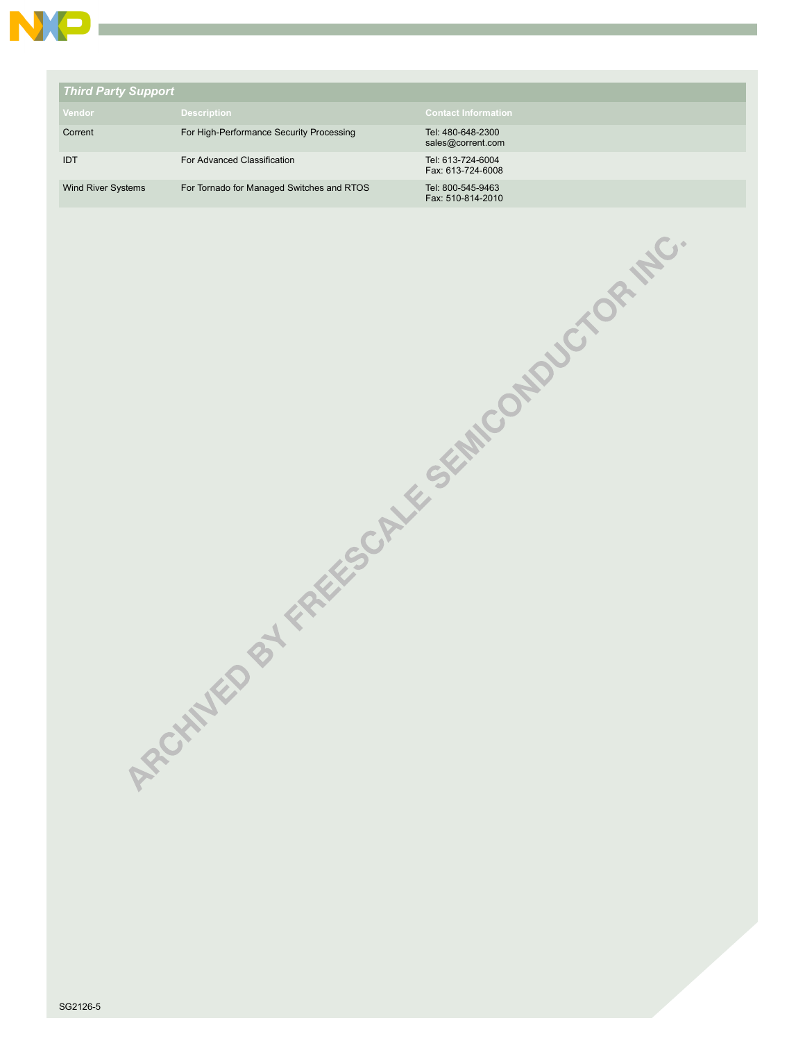

| <b>Third Party Support</b> |                                           |                                        |
|----------------------------|-------------------------------------------|----------------------------------------|
| Vendor                     | <b>Description</b>                        | <b>Contact Information</b>             |
| Corrent                    | For High-Performance Security Processing  | Tel: 480-648-2300<br>sales@corrent.com |
| <b>IDT</b>                 | For Advanced Classification               | Tel: 613-724-6004<br>Fax: 613-724-6008 |
| <b>Wind River Systems</b>  | For Tornado for Managed Switches and RTOS | Tel: 800-545-9463<br>Fax: 510-814-2010 |

SG2126-5